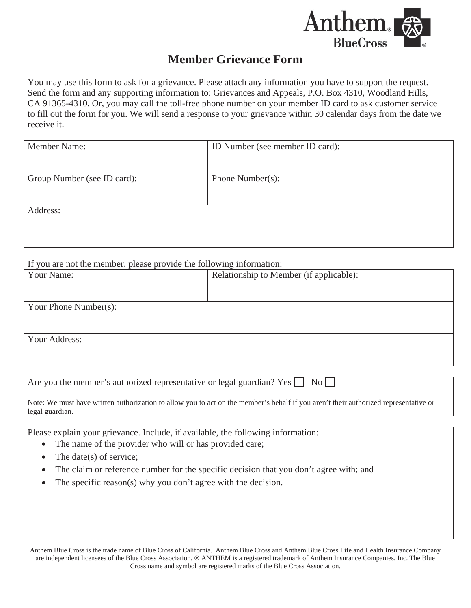

## **Member Grievance Form**

You may use this form to ask for a grievance. Please attach any information you have to support the request. Send the form and any supporting information to: Grievances and Appeals, P.O. Box 4310, Woodland Hills, CA 91365-4310. Or, you may call the toll-free phone number on your member ID card to ask customer service to fill out the form for you. We will send a response to your grievance within 30 calendar days from the date we receive it.

| <b>Member Name:</b>         | ID Number (see member ID card): |
|-----------------------------|---------------------------------|
| Group Number (see ID card): | Phone Number(s):                |
| Address:                    |                                 |

If you are not the member, please provide the following information:

| Your Name:            | Relationship to Member (if applicable): |  |
|-----------------------|-----------------------------------------|--|
|                       |                                         |  |
|                       |                                         |  |
|                       |                                         |  |
| Your Phone Number(s): |                                         |  |
|                       |                                         |  |
|                       |                                         |  |
|                       |                                         |  |
| Your Address:         |                                         |  |
|                       |                                         |  |
|                       |                                         |  |
|                       |                                         |  |

Are you the member's authorized representative or legal guardian? Yes  $\Box$  No  $\Box$ 

Note: We must have written authorization to allow you to act on the member's behalf if you aren't their authorized representative or legal guardian.

Please explain your grievance. Include, if available, the following information:

- The name of the provider who will or has provided care;
- The date(s) of service;
- The claim or reference number for the specific decision that you don't agree with; and
- The specific reason(s) why you don't agree with the decision.

Anthem Blue Cross is the trade name of Blue Cross of California. Anthem Blue Cross and Anthem Blue Cross Life and Health Insurance Company are independent licensees of the Blue Cross Association. ® ANTHEM is a registered trademark of Anthem Insurance Companies, Inc. The Blue Cross name and symbol are registered marks of the Blue Cross Association.